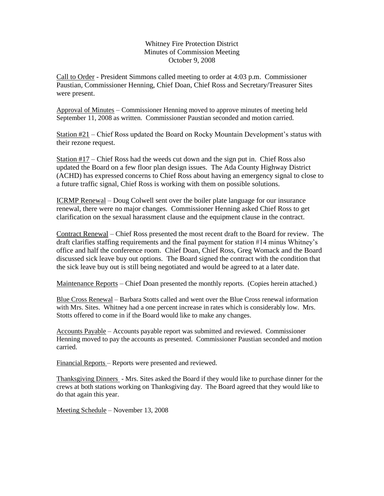## Whitney Fire Protection District Minutes of Commission Meeting October 9, 2008

Call to Order - President Simmons called meeting to order at 4:03 p.m. Commissioner Paustian, Commissioner Henning, Chief Doan, Chief Ross and Secretary/Treasurer Sites were present.

Approval of Minutes – Commissioner Henning moved to approve minutes of meeting held September 11, 2008 as written. Commissioner Paustian seconded and motion carried.

Station  $#21$  – Chief Ross updated the Board on Rocky Mountain Development's status with their rezone request.

Station #17 – Chief Ross had the weeds cut down and the sign put in. Chief Ross also updated the Board on a few floor plan design issues. The Ada County Highway District (ACHD) has expressed concerns to Chief Ross about having an emergency signal to close to a future traffic signal, Chief Ross is working with them on possible solutions.

ICRMP Renewal – Doug Colwell sent over the boiler plate language for our insurance renewal, there were no major changes. Commissioner Henning asked Chief Ross to get clarification on the sexual harassment clause and the equipment clause in the contract.

Contract Renewal – Chief Ross presented the most recent draft to the Board for review. The draft clarifies staffing requirements and the final payment for station #14 minus Whitney's office and half the conference room. Chief Doan, Chief Ross, Greg Womack and the Board discussed sick leave buy out options. The Board signed the contract with the condition that the sick leave buy out is still being negotiated and would be agreed to at a later date.

Maintenance Reports – Chief Doan presented the monthly reports. (Copies herein attached.)

Blue Cross Renewal – Barbara Stotts called and went over the Blue Cross renewal information with Mrs. Sites. Whitney had a one percent increase in rates which is considerably low. Mrs. Stotts offered to come in if the Board would like to make any changes.

Accounts Payable – Accounts payable report was submitted and reviewed. Commissioner Henning moved to pay the accounts as presented. Commissioner Paustian seconded and motion carried.

Financial Reports – Reports were presented and reviewed.

Thanksgiving Dinners - Mrs. Sites asked the Board if they would like to purchase dinner for the crews at both stations working on Thanksgiving day. The Board agreed that they would like to do that again this year.

Meeting Schedule – November 13, 2008